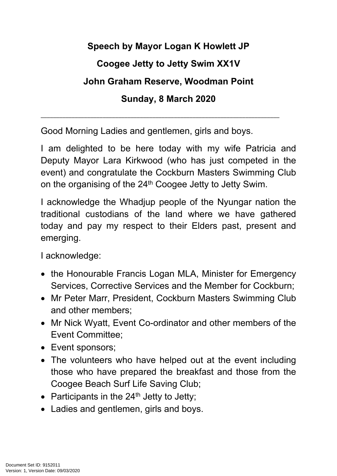## **Speech by Mayor Logan K Howlett JP**

## **Coogee Jetty to Jetty Swim XX1V**

## **John Graham Reserve, Woodman Point**

## **Sunday, 8 March 2020**

\_\_\_\_\_\_\_\_\_\_\_\_\_\_\_\_\_\_\_\_\_\_\_\_\_\_\_\_\_\_\_\_\_\_\_\_\_\_\_\_\_\_\_\_\_\_\_\_\_\_\_\_\_\_\_\_\_\_\_\_\_\_\_\_\_\_\_\_\_\_\_\_\_\_\_\_\_

Good Morning Ladies and gentlemen, girls and boys.

I am delighted to be here today with my wife Patricia and Deputy Mayor Lara Kirkwood (who has just competed in the event) and congratulate the Cockburn Masters Swimming Club on the organising of the 24<sup>th</sup> Coogee Jetty to Jetty Swim.

I acknowledge the Whadjup people of the Nyungar nation the traditional custodians of the land where we have gathered today and pay my respect to their Elders past, present and emerging.

I acknowledge:

- the Honourable Francis Logan MLA, Minister for Emergency Services, Corrective Services and the Member for Cockburn;
- Mr Peter Marr, President, Cockburn Masters Swimming Club and other members;
- Mr Nick Wyatt, Event Co-ordinator and other members of the Event Committee;
- Event sponsors;
- The volunteers who have helped out at the event including those who have prepared the breakfast and those from the Coogee Beach Surf Life Saving Club;
- Participants in the  $24<sup>th</sup>$  Jetty to Jetty;
- Ladies and gentlemen, girls and boys.